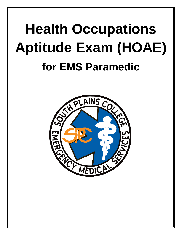# **Health Occupations Aptitude Exam (HOAE) for EMS Paramedic**

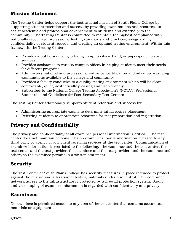# **Mission Statement**

The Testing Center helps support the institutional mission of South Plains College by supporting student retention and success by providing examinations and resources to assist academic and professional advancement to students and externally to the community. The Testing Center is committed to maintain the highest compliance with nationally recognized professional testing standards and practices, safeguarding confidentiality of student records, and creating an optimal testing environment. Within this framework, the Testing Center:

- Provides a public service by offering computer-based and/or paper-pencil testing services
- Provides assistance to various campus offices in helping students meet their needs for different programs
- Administers national and professional entrance, certification and advanced-standing examinations available to the college and community
- Provides a facility conducive to a quality testing environment which will be clean, comfortable, quiet, aesthetically pleasing and user-friendly
- Subscribes to the National College Testing Association's (NCTA's) Professional Standards and Guidelines for Post-Secondary Test Centers

The Testing Center additionally supports student retention and success by:

- Administering appropriate exams to determine initial course placement
- Referring students to appropriate resources for test preparation and registration

# **Privacy and Confidentiality**

The privacy and confidentiality of all examinee personal information is critical. The test center does not maintain personal files on examinees; nor is information released to any third party or agency or any client receiving services at the test center. Communication of examinee information is restricted to the following: the examinee and the test center; the test center and the test provider; the examinee and the test provider; and the examinee and others as the examinee permits in a written statement.

# **Security**

The Test Center at South Plains College has security measures in place intended to protect against the misuse and alteration of testing materials under our control. Our computer network access to the infrastructure is protected by a firewall protection system. Audio and video taping of examinee information is regarded with confidentiality and privacy.

## **Examinees**

No examinee is permitted access to any area of the test center that contains secure test materials or equipment.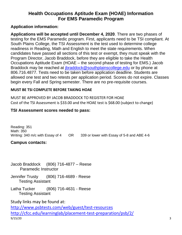## **Health Occupations Aptitude Exam (HOAE) Information For EMS Paramedic Program**

## **Application information:**

**Applications will be accepted until December 4, 2020**. There are two phases of testing for the EMS Paramedic program. First, applicants need to be TSI compliant. At South Plains College, the TSI Assessment is the test used to determine college readiness in Reading, Math and English to meet the state requirements. When candidates have passed all sections of this test or exempt, they must speak with the Program Director, Jacob Braddock, before they are eligible to take the Health Occupations Aptitude Exam (HOAE – the second phase of testing for EMS.) Jacob Braddock may be reached at *jbraddock@southplainscollege.edu* or by phone at 806.716.4877. Tests need to be taken before application deadline. Students are [allowed one test and](mailto:jbraddock@southplainscollege.edu) two retests per application period. Scores do not expire. Classes begin every Fall and Spring semester. There are no pre-requisite courses.

### **MUST BE TSI COMPLETE BEFORE TAKING HOAE**

MUST BE APPROVED BY JACOB BRADDOCK TO REGISTER FOR HOAE Cost of the TSI Assessment is \$33.00 and the HOAE test is \$68.00 (subject to change)

## **TSI Assessment scores needed to pass:**

Reading: 351 Math: 350 Writing: 340 m/c with Essay of 4 OR 339 or lower with Essay of 5-8 and ABE 4-6

## **Campus contacts:**

Jacob Braddock (806) 716-4877 – Reese Paramedic Instructor

Jennifer Trusty (806) 716-4689 - Reese Testing Assistant

Latha Tucker (806) 716-4631 - Reese Testing Assistant

Study links may be found at:

9/15/20 3 <http://www.psbtests.com/web/guest/test-resources> <http://cfcc.edu/learninglab/placement-test-preparation/psb/2/>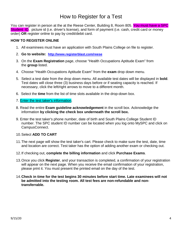# How to Register for a Test

You can register in person at the at the Reese Center, Building 8, Room 805. You must have a SPC Student ID, picture id (i.e. driver's license), and form of payment (i.e. cash, credit card or money order) **OR** register online to pay by credit/debit card.

#### **HOW TO REGISTER ONLINE**

- 1. All examinees must have an application with South Plains College on file to register.
- 2. **Go to website: <http://www.registerblast.com/reese>**
- 3. On the **Exam Registration** page, choose "Health Occupations Aptitude Exam" from the **group** listed.
- 4. Choose "Health Occupations Aptitude Exam" from the **exam** drop down menu.
- 5. Select a test date from the drop down menu. All available test dates will be displayed in **bold**. Test dates will close three (3) business days before or if seating capacity is reached. If necessary, click the left/right arrows to move to a different month.
- 6. Select the **time** from the list of time slots available in the drop-down box.
- 7. Enter the test taker's information.
- 8. Read the entire **Exam guideline acknowledgement** in the scroll box. Acknowledge the information **by clicking the check box underneath the scroll box.**
- 9. Enter the test taker's phone number, date of birth and South Plains College Student ID number. The SPC student ID number can be located when you log onto MySPC and click on CampusConnect.
- 10.Select **ADD TO CART**
- 11.The next page will show the test taker's cart. Please check to make sure the test, date, time and location are correct. Test taker has the option of adding another exam or checking out.
- 12.If checking out, **complete the billing information** and click **Purchase Exams**.
- 13.Once you click **Register**, and your transaction is completed, a confirmation of your registration will appear on the next page. When you receive the email confirmation of your registration, please print it. You must present the printed email on the day of the test.
- 14.**Check in time for the test begins 30 minutes before start time. Late examinees will not be admitted into the testing room. All test fees are non-refundable and nontransferrable.**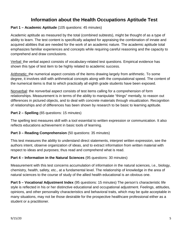# **Information about the Health Occupations Aptitude Test**

#### **Part 1 – Academic Aptitude** (105 questions: 45 minutes)

Academic aptitude as measured by the total (combined subtests), might be thought of as a type of ability to learn. The test content is specifically adapted for appraising the combination of innate and acquired abilities that are needed for the work of an academic nature. The academic aptitude total emphasizes familiar experiences and concepts while requiring careful reasoning and the capacity to comprehend and draw conclusions.

Verbal: the verbal aspect consists of vocabulary-related test questions. Empirical evidence has shown this type of test item to be highly related to academic success.

Arithmetic: the numerical aspect consists of the items drawing largely from arithmetic. To some degree, it involves skill with arithmetical concepts along with the computational speed. The content of the numerical items is that to which practically all eighth grade students have been exposed.

Nonverbal: the nonverbal aspect consists of test items calling for a comprehension of form relationships. Measurement is in terms of the ability to manipulate "things" mentally, to reason out differences in pictured objects, and to deal with concrete materials through visualization. Recognition of relationships and of differences has been shown by research to be basic to learning aptitude.

#### **Part 2 – Spelling** (65 questions: 15 minutes)

The spelling test measures skill with a tool essential to written expression or communication. It also reflects educations achievement in basic tools of learning.

#### **Part 3 – Reading Comprehension** (50 questions: 35 minutes)

This test measures the ability to understand direct statements, interpret written expression, see the authors intent, observe organization of ideas, and to extract information from written material with respect to ideas and purposes; thus read and comprehend what is read.

#### **Part 4 – Information in the Natural Sciences** (95 questions: 30 minutes)

Measurement with this test concerns accumulation of information in the natural sciences, i.e., biology, chemistry, health, safety, etc., at a fundamental level. The relationship of knowledge in the area of natural sciences to the course of study of the allied health educational is an obvious one.

**Part 5 – Vocational Adjustment Index** (95 questions: 15 minutes) The person's characteristic life style is reflected in his or her distinctive educational and occupational adjustment. Feelings, attitudes, opinions, and other personality characteristics and behavioral traits, which may be quite acceptable in many situations, may not be those desirable for the prospective healthcare professional either as a student or a practitioner.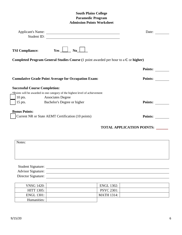#### **South Plains College Paramedic Program Admission Points Worksheet**

| <b>Applicant's Name:</b>             | <u> 1989 - Johann Barn, mars ann an t-Amhain Aonaich an t-Aonaich an t-Aonaich an t-Aonaich an t-Aonaich an t-Aon</u> | Date:                            |
|--------------------------------------|-----------------------------------------------------------------------------------------------------------------------|----------------------------------|
| Student ID:                          |                                                                                                                       |                                  |
| <b>TSI Compliance:</b>               | No<br>Yes                                                                                                             |                                  |
|                                      | <b>Completed Program General Studies Course</b> (1 point awarded per hour to a C or higher)                           |                                  |
|                                      |                                                                                                                       | <b>Points:</b>                   |
|                                      | <b>Cumulative Grade Point Average for Occupation Exam:</b>                                                            | <b>Points:</b>                   |
| <b>Successful Course Completion:</b> |                                                                                                                       |                                  |
|                                      | *Points will be awarded in one category of the highest level of achievement                                           |                                  |
|                                      | 10 pts. Associates Degree                                                                                             |                                  |
| $15$ pts.                            | <b>Bachelor's Degree or higher</b>                                                                                    | <b>Points:</b>                   |
| <b>Bonus Points:</b>                 |                                                                                                                       |                                  |
|                                      | Current NR or State AEMT Certification (10 points)                                                                    | <b>Points:</b>                   |
|                                      |                                                                                                                       | <b>TOTAL APPLICATION POINTS:</b> |

| Notes:                                   |  |  |  |
|------------------------------------------|--|--|--|
|                                          |  |  |  |
|                                          |  |  |  |
|                                          |  |  |  |
|                                          |  |  |  |
| Student Signature:<br>Advisor Signature: |  |  |  |

Director Signature:

| <b>VNSG 1420:</b> | <b>ENGL 1302:</b> |  |
|-------------------|-------------------|--|
| <b>HITT 1305:</b> | <b>PSYC 2301:</b> |  |
| ENGL 1301:        | <b>MATH 1314:</b> |  |
| Humanities:       |                   |  |